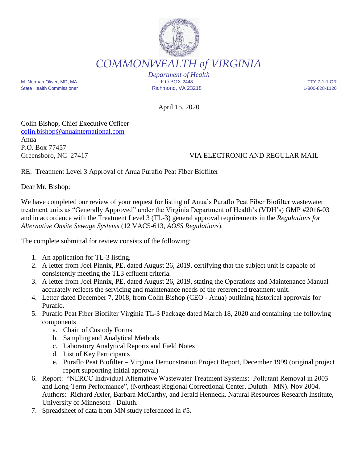

*COMMONWEALTH of VIRGINIA*

M. Norman Oliver, MD, MA P O BOX 2448 TTY 7-1-1 OR State Health Commissioner **Richmond, VA 23218** 1-800-828-1120

*Department of Health*

April 15, 2020

Colin Bishop, Chief Executive Officer colin.bishop@anuainternational.com Anua P.O. Box 77457

## Greensboro, NC 27417 VIA ELECTRONIC AND REGULAR MAIL

RE: Treatment Level 3 Approval of Anua Puraflo Peat Fiber Biofilter

Dear Mr. Bishop:

We have completed our review of your request for listing of Anua's Puraflo Peat Fiber Biofilter wastewater treatment units as "Generally Approved" under the Virginia Department of Health's (VDH's) GMP #2016-03 and in accordance with the Treatment Level 3 (TL-3) general approval requirements in the *Regulations for Alternative Onsite Sewage Systems* (12 VAC5-613, *AOSS Regulations*).

The complete submittal for review consists of the following:

- 1. An application for TL-3 listing.
- 2. A letter from Joel Pinnix, PE, dated August 26, 2019, certifying that the subject unit is capable of consistently meeting the TL3 effluent criteria.
- 3. A letter from Joel Pinnix, PE, dated August 26, 2019, stating the Operations and Maintenance Manual accurately reflects the servicing and maintenance needs of the referenced treatment unit.
- 4. Letter dated December 7, 2018, from Colin Bishop (CEO Anua) outlining historical approvals for Puraflo.
- 5. Puraflo Peat Fiber Biofilter Virginia TL-3 Package dated March 18, 2020 and containing the following components
	- a. Chain of Custody Forms
	- b. Sampling and Analytical Methods
	- c. Laboratory Analytical Reports and Field Notes
	- d. List of Key Participants
	- e. Puraflo Peat Biofilter Virginia Demonstration Project Report, December 1999 (original project report supporting initial approval)
- 6. Report: "NERCC Individual Alternative Wastewater Treatment Systems: Pollutant Removal in 2003 and Long-Term Performance", (Northeast Regional Correctional Center, Duluth - MN). Nov 2004. Authors: Richard Axler, Barbara McCarthy, and Jerald Henneck. Natural Resources Research Institute, University of Minnesota - Duluth.
- 7. Spreadsheet of data from MN study referenced in #5.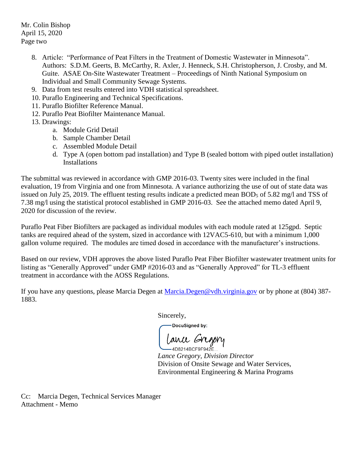Mr. Colin Bishop April 15, 2020 Page two

- 8. Article: "Performance of Peat Filters in the Treatment of Domestic Wastewater in Minnesota". Authors: S.D.M. Geerts, B. McCarthy, R. Axler, J. Henneck, S.H. Christopherson, J. Crosby, and M. Guite. ASAE On-Site Wastewater Treatment – Proceedings of Ninth National Symposium on Individual and Small Community Sewage Systems.
- 9. Data from test results entered into VDH statistical spreadsheet.
- 10. Puraflo Engineering and Technical Specifications.
- 11. Puraflo Biofilter Reference Manual.
- 12. Puraflo Peat Biofilter Maintenance Manual.

13. Drawings:

- a. Module Grid Detail
- b. Sample Chamber Detail
- c. Assembled Module Detail
- d. Type A (open bottom pad installation) and Type B (sealed bottom with piped outlet installation) **Installations**

The submittal was reviewed in accordance with GMP 2016-03. Twenty sites were included in the final evaluation, 19 from Virginia and one from Minnesota. A variance authorizing the use of out of state data was issued on July 25, 2019. The effluent testing results indicate a predicted mean BOD<sub>5</sub> of 5.82 mg/l and TSS of 7.38 mg/l using the statistical protocol established in GMP 2016-03. See the attached memo dated April 9, 2020 for discussion of the review.

Puraflo Peat Fiber Biofilters are packaged as individual modules with each module rated at 125gpd. Septic tanks are required ahead of the system, sized in accordance with 12VAC5-610, but with a minimum 1,000 gallon volume required. The modules are timed dosed in accordance with the manufacturer's instructions.

Based on our review, VDH approves the above listed Puraflo Peat Fiber Biofilter wastewater treatment units for listing as "Generally Approved" under GMP #2016-03 and as "Generally Approved" for TL-3 effluent treatment in accordance with the AOSS Regulations.

If you have any questions, please Marcia Degen at Marcia.Degen@vdh.virginia.gov or by phone at (804) 387-1883.

Sincerely,

DocuSigned by:

Lance Gregory

 $-4D8214BCF9F942E...$ *Lance Gregory, Division Director* Division of Onsite Sewage and Water Services, Environmental Engineering & Marina Programs

Cc: Marcia Degen, Technical Services Manager Attachment - Memo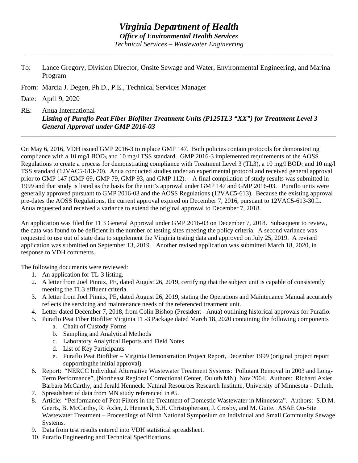\_\_\_\_\_\_\_\_\_\_\_\_\_\_\_\_\_\_\_\_\_\_\_\_\_\_\_\_\_\_\_\_\_\_\_\_\_\_\_\_\_\_\_\_\_\_\_\_\_\_\_\_\_\_\_\_\_\_\_\_\_\_\_\_\_\_\_\_\_\_\_\_\_\_\_\_\_\_\_\_\_\_\_\_\_\_\_\_

- To: Lance Gregory, Division Director, Onsite Sewage and Water, Environmental Engineering, and Marina Program
- From: Marcia J. Degen, Ph.D., P.E., Technical Services Manager

Date: April 9, 2020

RE: Anua International *Listing of Puraflo Peat Fiber Biofilter Treatment Units (P125TL3 "XX") for Treatment Level 3 General Approval under GMP 2016-03*

On May 6, 2016, VDH issued GMP 2016-3 to replace GMP 147. Both policies contain protocols for demonstrating compliance with a 10 mg/l BOD5 and 10 mg/l TSS standard. GMP 2016-3 implemented requirements of the AOSS Regulations to create a process for demonstrating compliance with Treatment Level 3 (TL3), a 10 mg/l BOD<sub>5</sub> and 10 mg/l TSS standard (12VAC5-613-70). Anua conducted studies under an experimental protocol and received general approval prior to GMP 147 (GMP 69, GMP 79, GMP 93, and GMP 112). A final compilation of study results was submitted in 1999 and that study is listed as the basis for the unit's approval under GMP 147 and GMP 2016-03. Puraflo units were generally approved pursuant to GMP 2016-03 and the AOSS Regulations (12VAC5-613). Because the existing approval pre-dates the AOSS Regulations, the current approval expired on December 7, 2016, pursuant to 12VAC5-613-30.L. Anua requested and received a variance to extend the original approval to December 7, 2018.

\_\_\_\_\_\_\_\_\_\_\_\_\_\_\_\_\_\_\_\_\_\_\_\_\_\_\_\_\_\_\_\_\_\_\_\_\_\_\_\_\_\_\_\_\_\_\_\_\_\_\_\_\_\_\_\_\_\_\_\_\_\_\_\_\_\_\_\_\_\_\_\_\_\_\_\_\_\_\_\_\_\_\_\_\_\_\_\_\_\_\_\_\_\_\_\_\_\_

An application was filed for TL3 General Approval under GMP 2016-03 on December 7, 2018. Subsequent to review, the data was found to be deficient in the number of testing sites meeting the policy criteria. A second variance was requested to use out of state data to supplement the Virginia testing data and approved on July 25, 2019. A revised application was submitted on September 13, 2019. Another revised application was submitted March 18, 2020, in response to VDH comments.

The following documents were reviewed:

- 1. An application for TL-3 listing.
- 2. A letter from Joel Pinnix, PE, dated August 26, 2019, certifying that the subject unit is capable of consistently meeting the TL3 effluent criteria.
- 3. A letter from Joel Pinnix, PE, dated August 26, 2019, stating the Operations and Maintenance Manual accurately reflects the servicing and maintenance needs of the referenced treatment unit.
- 4. Letter dated December 7, 2018, from Colin Bishop (President Anua) outlining historical approvals for Puraflo.
- 5. Puraflo Peat Fiber Biofilter Virginia TL-3 Package dated March 18, 2020 containing the following components
	- a. Chain of Custody Forms
	- b. Sampling and Analytical Methods
	- c. Laboratory Analytical Reports and Field Notes
	- d. List of Key Participants
	- e. Puraflo Peat Biofilter Virginia Demonstration Project Report, December 1999 (original project report supportingthe initial approval)
- 6. Report: "NERCC Individual Alternative Wastewater Treatment Systems: Pollutant Removal in 2003 and Long-Term Performance", (Northeast Regional Correctional Center, Duluth MN). Nov 2004. Authors: Richard Axler, Barbara McCarthy, and Jerald Henneck. Natural Resources Research Institute, University of Minnesota - Duluth.
- 7. Spreadsheet of data from MN study referenced in #5.
- 8. Article: "Performance of Peat Filters in the Treatment of Domestic Wastewater in Minnesota". Authors: S.D.M. Geerts, B. McCarthy, R. Axler, J. Henneck, S.H. Christopherson, J. Crosby, and M. Guite. ASAE On-Site Wastewater Treatment – Proceedings of Ninth National Symposium on Individual and Small Community Sewage Systems.
- 9. Data from test results entered into VDH statistical spreadsheet.
- 10. Puraflo Engineering and Technical Specifications.